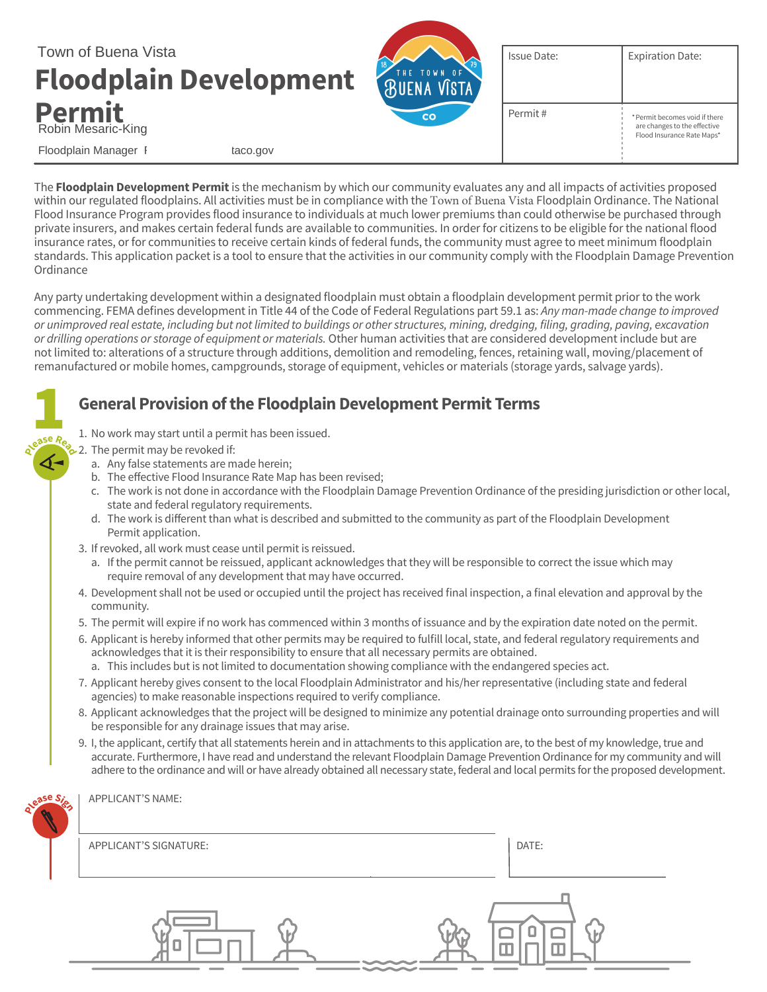

The **Floodplain Development Permit** is the mechanism by which our community evaluates any and all impacts of activities proposed within our regulated floodplains. All activities must be in compliance with the Town of Buena Vista Floodplain Ordinance. The National Flood Insurance Program provides flood insurance to individuals at much lower premiums than could otherwise be purchased through private insurers, and makes certain federal funds are available to communities. In order for citizens to be eligible for the national flood insurance rates, or for communities to receive certain kinds of federal funds, the community must agree to meet minimum floodplain standards. This application packet is a tool to ensure that the activities in our community comply with the Floodplain Damage Prevention Ordinance

Any party undertaking development within a designated floodplain must obtain a floodplain development permit prior to the work commencing. FEMA defines development in Title 44 of the Code of Federal Regulations part 59.1 as: *Any man-made change to improved* or unimproved real estate, including but not limited to buildings or other structures, mining, dredging, filing, grading, paving, excavation *or drilling operations or storage of equipment or materials.* Other human activities that are considered development include but are not limited to: alterations of a structure through additions, demolition and remodeling, fences, retaining wall, moving/placement of remanufactured or mobile homes, campgrounds, storage of equipment, vehicles or materials (storage yards, salvage yards).

### **General Provision of the Floodplain Development Permit Terms**

- 1. No work may start until a permit has been issued.
- $\geq$  2. The permit may be revoked if: **<sup>P</sup>leas<sup>e</sup> <sup>R</sup>ea<sup>d</sup>**

**1** 

- a. Any false statements are made herein;
- b. The effective Flood Insurance Rate Map has been revised;
- c. The work is not done in accordance with the Floodplain Damage Prevention Ordinance of the presiding jurisdiction or other local, state and federal regulatory requirements.
- d. The work is different than what is described and submitted to the community as part of the Floodplain Development Permit application.
- 3. If revoked, all work must cease until permit is reissued.
	- a. If the permit cannot be reissued, applicant acknowledges that they will be responsible to correct the issue which may require removal of any development that may have occurred.
- 4. Development shall not be used or occupied until the project has received final inspection, a final elevation and approval by the community.
- 5. The permit will expire if no work has commenced within 3 months of issuance and by the expiration date noted on the permit.
- 6. Applicant is hereby informed that other permits may be required to fulfill local, state, and federal regulatory requirements and acknowledges that it is their responsibility to ensure that all necessary permits are obtained.
	- a. This includes but is not limited to documentation showing compliance with the endangered species act.
- 7. Applicant hereby gives consent to the local Floodplain Administrator and his/her representative (including state and federal agencies) to make reasonable inspections required to verify compliance.
- 8. Applicant acknowledges that the project will be designed to minimize any potential drainage onto surrounding properties and will be responsible for any drainage issues that may arise.
- 9. I, the applicant, certify that all statements herein and in attachments to this application are, to the best of my knowledge, true and accurate. Furthermore, I have read and understand the relevant Floodplain Damage Prevention Ordinance for my community and will adhere to the ordinance and will or have already obtained all necessary state, federal and local permits for the proposed development.

| ease Sis | APPLICANT'S NAME:      |       |
|----------|------------------------|-------|
|          | APPLICANT'S SIGNATURE: | DATE: |
|          |                        |       |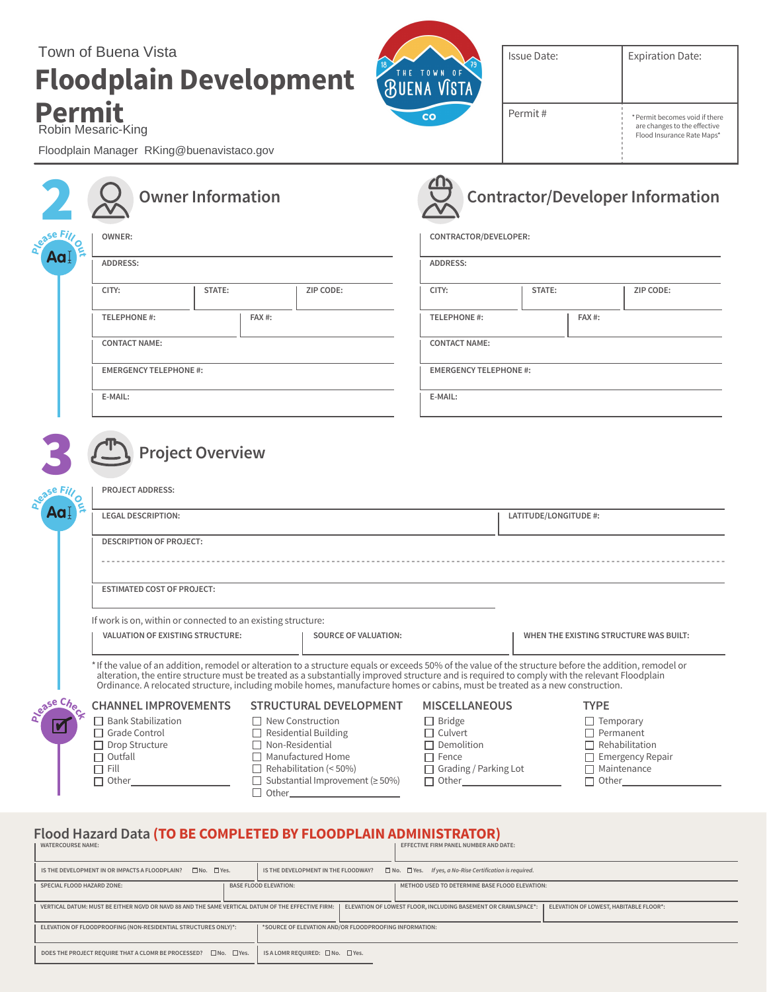# **Floodplain Development Permit** Town of Buena Vista



Issue Date:

Permit #

\*Permit becomes void if there are changes to the effective Flood Insurance Rate Maps\*

Floodplain Manager RKing@buenavistaco.gov

Robin Mesaric-King

|                         |                                                                                                                                                       | <b>Owner Information</b> |                               |                                                                                                                                                                                                                                                                                                                                                                                                                                           |                                                                                                                                         |  |                                        | <b>Contractor/Developer Information</b>                                                                                        |
|-------------------------|-------------------------------------------------------------------------------------------------------------------------------------------------------|--------------------------|-------------------------------|-------------------------------------------------------------------------------------------------------------------------------------------------------------------------------------------------------------------------------------------------------------------------------------------------------------------------------------------------------------------------------------------------------------------------------------------|-----------------------------------------------------------------------------------------------------------------------------------------|--|----------------------------------------|--------------------------------------------------------------------------------------------------------------------------------|
| se Fill<br>ומ           | OWNER:                                                                                                                                                |                          |                               | CONTRACTOR/DEVELOPER:                                                                                                                                                                                                                                                                                                                                                                                                                     |                                                                                                                                         |  |                                        |                                                                                                                                |
|                         | ADDRESS:                                                                                                                                              |                          |                               | ADDRESS:                                                                                                                                                                                                                                                                                                                                                                                                                                  |                                                                                                                                         |  |                                        |                                                                                                                                |
|                         | CITY:                                                                                                                                                 | STATE:                   | ZIP CODE:                     |                                                                                                                                                                                                                                                                                                                                                                                                                                           | CITY:                                                                                                                                   |  | STATE:                                 | ZIP CODE:                                                                                                                      |
|                         | <b>TELEPHONE #:</b>                                                                                                                                   |                          | FAX#:                         |                                                                                                                                                                                                                                                                                                                                                                                                                                           | <b>TELEPHONE #:</b>                                                                                                                     |  | FAX#:                                  |                                                                                                                                |
|                         | <b>CONTACT NAME:</b>                                                                                                                                  |                          |                               | <b>CONTACT NAME:</b>                                                                                                                                                                                                                                                                                                                                                                                                                      |                                                                                                                                         |  |                                        |                                                                                                                                |
|                         | <b>EMERGENCY TELEPHONE #:</b>                                                                                                                         |                          | <b>EMERGENCY TELEPHONE #:</b> |                                                                                                                                                                                                                                                                                                                                                                                                                                           |                                                                                                                                         |  |                                        |                                                                                                                                |
|                         | E-MAIL:                                                                                                                                               |                          |                               |                                                                                                                                                                                                                                                                                                                                                                                                                                           | E-MAIL:                                                                                                                                 |  |                                        |                                                                                                                                |
| à<br>Aa l               | <b>LEGAL DESCRIPTION:</b><br>LATITUDE/LONGITUDE #:<br><b>DESCRIPTION OF PROJECT:</b>                                                                  |                          |                               |                                                                                                                                                                                                                                                                                                                                                                                                                                           |                                                                                                                                         |  |                                        |                                                                                                                                |
|                         | <b>ESTIMATED COST OF PROJECT:</b>                                                                                                                     |                          |                               |                                                                                                                                                                                                                                                                                                                                                                                                                                           |                                                                                                                                         |  |                                        |                                                                                                                                |
|                         | If work is on, within or connected to an existing structure:<br>VALUATION OF EXISTING STRUCTURE:<br><b>SOURCE OF VALUATION:</b>                       |                          |                               |                                                                                                                                                                                                                                                                                                                                                                                                                                           |                                                                                                                                         |  | WHEN THE EXISTING STRUCTURE WAS BUILT: |                                                                                                                                |
|                         |                                                                                                                                                       |                          |                               | * If the value of an addition, remodel or alteration to a structure equals or exceeds 50% of the value of the structure before the addition, remodel or<br>alteration, the entire structure must be treated as a substantially improved structure and is required to comply with the relevant Floodplain<br>Ordinance. A relocated structure, including mobile homes, manufacture homes or cabins, must be treated as a new construction. |                                                                                                                                         |  |                                        |                                                                                                                                |
| a <sup>ease Che</sup> c | <b>CHANNEL IMPROVEMENTS</b><br>$\Box$ Bank Stabilization<br>□ Grade Control<br>$\Box$ Drop Structure<br>$\Box$ Outfall<br>$\Box$ Fill<br>$\Box$ Other | $\Box$ Other             | $\Box$ Non-Residential        | <b>STRUCTURAL DEVELOPMENT</b><br>$\Box$ New Construction<br>$\Box$ Residential Building<br>$\Box$ Manufactured Home<br>$\Box$ Rehabilitation (< 50%)<br>$\Box$ Substantial Improvement ( $\geq$ 50%)                                                                                                                                                                                                                                      | <b>MISCELLANEOUS</b><br>$\Box$ Bridge<br>$\Box$ Culvert<br>$\Box$ Demolition<br>$\Box$ Fence<br>□ Grading / Parking Lot<br>$\Box$ Other |  | <b>TYPE</b>                            | $\Box$ Temporary<br>$\Box$ Permanent<br>$\Box$ Rehabilitation<br>$\Box$ Emergency Repair<br>$\Box$ Maintenance<br>$\Box$ Other |

#### **Flood Hazard Data (TO BE COMPLETED BY FLOODPLAIN ADMINISTRATOR)**

| <b>WATERCOURSE NAME:</b>                                                                                                                                                                                     |                                                                                                                          |                                                                                                            | EFFECTIVE FIRM PANEL NUMBER AND DATE:          |  |
|--------------------------------------------------------------------------------------------------------------------------------------------------------------------------------------------------------------|--------------------------------------------------------------------------------------------------------------------------|------------------------------------------------------------------------------------------------------------|------------------------------------------------|--|
| $\square$ No. $\square$ Yes.<br>IS THE DEVELOPMENT IN OR IMPACTS A FLOODPLAIN?                                                                                                                               |                                                                                                                          | $\Box$ No. $\Box$ Yes. If yes, a No-Rise Certification is required.<br>IS THE DEVELOPMENT IN THE FLOODWAY? |                                                |  |
|                                                                                                                                                                                                              | SPECIAL FLOOD HAZARD ZONE:                                                                                               | <b>BASE FLOOD ELEVATION:</b>                                                                               | METHOD USED TO DETERMINE BASE FLOOD ELEVATION: |  |
| ELEVATION OF LOWEST, HABITABLE FLOOR*:<br>ELEVATION OF LOWEST FLOOR, INCLUDING BASEMENT OR CRAWLSPACE*:<br>VERTICAL DATUM: MUST BE EITHER NGVD OR NAVD 88 AND THE SAME VERTICAL DATUM OF THE EFFECTIVE FIRM: |                                                                                                                          |                                                                                                            |                                                |  |
|                                                                                                                                                                                                              | ELEVATION OF FLOODPROOFING (NON-RESIDENTIAL STRUCTURES ONLY)*:<br>*SOURCE OF ELEVATION AND/OR FLOODPROOFING INFORMATION: |                                                                                                            |                                                |  |
|                                                                                                                                                                                                              | DOES THE PROJECT REQUIRE THAT A CLOMR BE PROCESSED? □ No. □ Yes.                                                         | IS A LOMR REOUIRED: □No. □Yes.                                                                             |                                                |  |